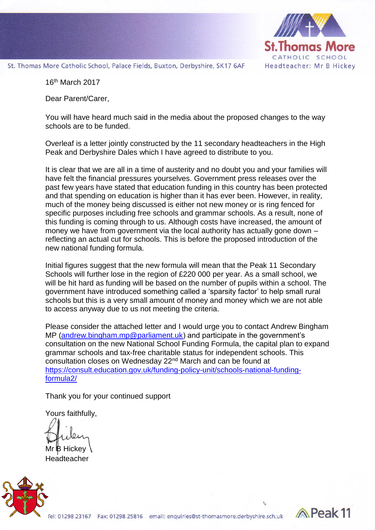

Reak<sub>11</sub>

St. Thomas More Catholic School, Palace Fields, Buxton, Derbyshire, SK17 6AF

16th March 2017

Dear Parent/Carer,

You will have heard much said in the media about the proposed changes to the way schools are to be funded.

Overleaf is a letter jointly constructed by the 11 secondary headteachers in the High Peak and Derbyshire Dales which I have agreed to distribute to you.

It is clear that we are all in a time of austerity and no doubt you and your families will have felt the financial pressures yourselves. Government press releases over the past few years have stated that education funding in this country has been protected and that spending on education is higher than it has ever been. However, in reality, much of the money being discussed is either not new money or is ring fenced for specific purposes including free schools and grammar schools. As a result, none of this funding is coming through to us. Although costs have increased, the amount of money we have from government via the local authority has actually gone down – reflecting an actual cut for schools. This is before the proposed introduction of the new national funding formula.

Initial figures suggest that the new formula will mean that the Peak 11 Secondary Schools will further lose in the region of £220 000 per year. As a small school, we will be hit hard as funding will be based on the number of pupils within a school. The government have introduced something called a 'sparsity factor' to help small rural schools but this is a very small amount of money and money which we are not able to access anyway due to us not meeting the criteria.

Please consider the attached letter and I would urge you to contact Andrew Bingham MP [\(andrew.bingham.mp@parliament.uk\)](mailto:andrew.bingham.mp@parliament.uk) and participate in the government's consultation on the new National School Funding Formula, the capital plan to expand grammar schools and tax-free charitable status for independent schools. This consultation closes on Wednesday 22nd March and can be found at [https://consult.education.gov.uk/funding-policy-unit/schools-national-funding](https://consult.education.gov.uk/funding-policy-unit/schools-national-funding-formula2/)[formula2/](https://consult.education.gov.uk/funding-policy-unit/schools-national-funding-formula2/)

Thank you for your continued support

Yours faithfully,

Mr **B** Hickey **Headteacher**